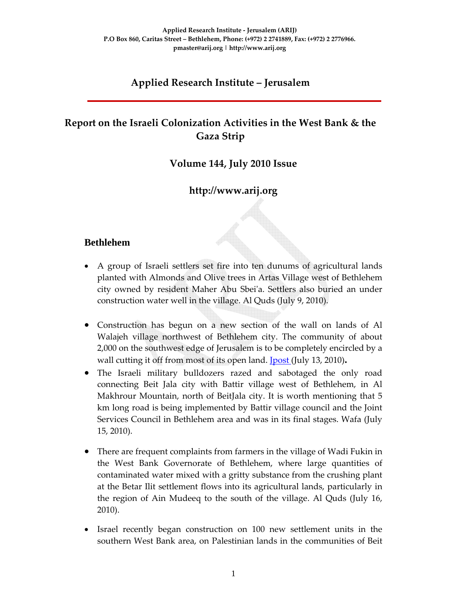# **Applied Research Institute – Jerusalem**

# **Report on the Israeli Colonization Activities in the West Bank & the Gaza Strip**

## **Volume 144, July 2010 Issue**

# **http://www.arij.org**

## **Bethlehem**

- A group of Israeli settlers set fire into ten dunums of agricultural lands planted with Almonds and Olive trees in Artas Village west of Bethlehem city owned by resident Maher Abu Sbeiʹa. Settlers also buried an under construction water well in the village. Al Quds (July 9, 2010).
- Construction has begun on a new section of the wall on lands of Al Walajeh village northwest of Bethlehem city. The community of about 2,000 on the southwest edge of Jerusalem is to be completely encircled by a wall cutting it off from most of its open land. **J**post (July 13, 2010).
- The Israeli military bulldozers razed and sabotaged the only road connecting Beit Jala city with Battir village west of Bethlehem, in Al Makhrour Mountain, north of BeitJala city. It is worth mentioning that 5 km long road is being implemented by Battir village council and the Joint Services Council in Bethlehem area and was in its final stages. Wafa (July 15, 2010).
- There are frequent complaints from farmers in the village of Wadi Fukin in the West Bank Governorate of Bethlehem, where large quantities of contaminated water mixed with a gritty substance from the crushing plant at the Betar Ilit settlement flows into its agricultural lands, particularly in the region of Ain Mudeeq to the south of the village. Al Quds (July 16, 2010).
- Israel recently began construction on 100 new settlement units in the southern West Bank area, on Palestinian lands in the communities of Beit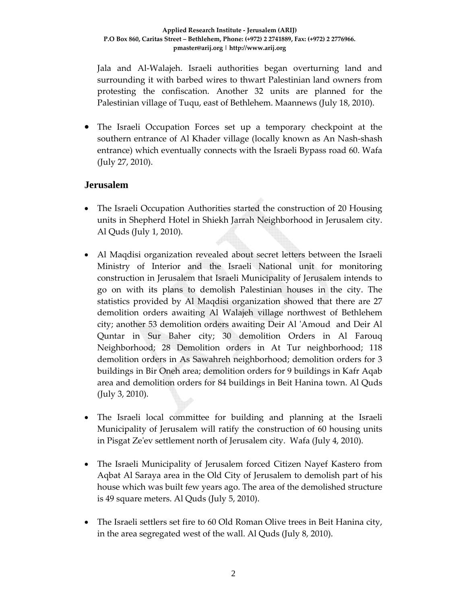Jala and Al‐Walajeh. Israeli authorities began overturning land and surrounding it with barbed wires to thwart Palestinian land owners from protesting the confiscation. Another 32 units are planned for the Palestinian village of Tuqu, east of Bethlehem. Maannews (July 18, 2010).

• The Israeli Occupation Forces set up a temporary checkpoint at the southern entrance of Al Khader village (locally known as An Nash‐shash entrance) which eventually connects with the Israeli Bypass road 60. Wafa (July 27, 2010).

### **Jerusalem**

- The Israeli Occupation Authorities started the construction of 20 Housing units in Shepherd Hotel in Shiekh Jarrah Neighborhood in Jerusalem city. Al Quds (July 1, 2010).
- Al Maqdisi organization revealed about secret letters between the Israeli Ministry of Interior and the Israeli National unit for monitoring construction in Jerusalem that Israeli Municipality of Jerusalem intends to go on with its plans to demolish Palestinian houses in the city. The statistics provided by Al Maqdisi organization showed that there are 27 demolition orders awaiting Al Walajeh village northwest of Bethlehem city; another 53 demolition orders awaiting Deir Al ʹAmoud and Deir Al Quntar in Sur Baher city; 30 demolition Orders in Al Farouq Neighborhood; 28 Demolition orders in At Tur neighborhood; 118 demolition orders in As Sawahreh neighborhood; demolition orders for 3 buildings in Bir Oneh area; demolition orders for 9 buildings in Kafr Aqab area and demolition orders for 84 buildings in Beit Hanina town. Al Quds (July 3, 2010).
- The Israeli local committee for building and planning at the Israeli Municipality of Jerusalem will ratify the construction of 60 housing units in Pisgat Zeʹev settlement north of Jerusalem city. Wafa (July 4, 2010).
- The Israeli Municipality of Jerusalem forced Citizen Nayef Kastero from Aqbat Al Saraya area in the Old City of Jerusalem to demolish part of his house which was built few years ago. The area of the demolished structure is 49 square meters. Al Quds (July 5, 2010).
- The Israeli settlers set fire to 60 Old Roman Olive trees in Beit Hanina city, in the area segregated west of the wall. Al Quds (July 8, 2010).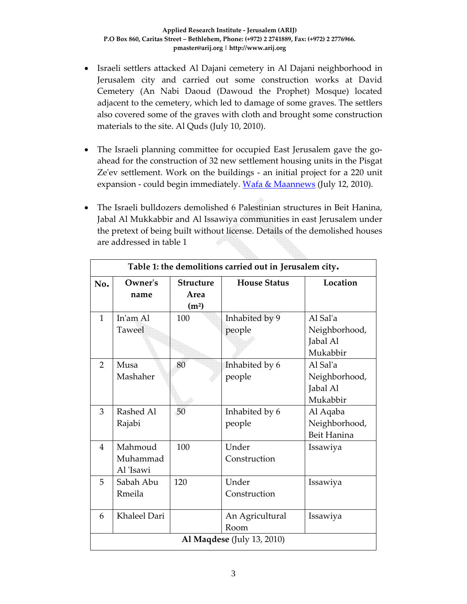- Israeli settlers attacked Al Dajani cemetery in Al Dajani neighborhood in Jerusalem city and carried out some construction works at David Cemetery (An Nabi Daoud (Dawoud the Prophet) Mosque) located adjacent to the cemetery, which led to damage of some graves. The settlers also covered some of the graves with cloth and brought some construction materials to the site. Al Quds (July 10, 2010).
- The Israeli planning committee for occupied East Jerusalem gave the goahead for the construction of 32 new settlement housing units in the Pisgat Ze'ev settlement. Work on the buildings - an initial project for a 220 unit expansion - could begin immediately. Wafa & Maannews (July 12, 2010).
- The Israeli bulldozers demolished 6 Palestinian structures in Beit Hanina, Jabal Al Mukkabbir and Al Issawiya communities in east Jerusalem under the pretext of being built without license. Details of the demolished houses are addressed in table 1

| Table 1: the demolitions carried out in Jerusalem city. |                                  |                                               |                          |                                                   |  |  |  |  |
|---------------------------------------------------------|----------------------------------|-----------------------------------------------|--------------------------|---------------------------------------------------|--|--|--|--|
| No.                                                     | Owner's<br>name                  | <b>Structure</b><br>Area<br>(m <sup>2</sup> ) | <b>House Status</b>      | Location                                          |  |  |  |  |
| $\mathbf{1}$                                            | In'am Al<br>Taweel               | 100                                           | Inhabited by 9<br>people | Al Sal'a<br>Neighborhood,<br>Jabal Al<br>Mukabbir |  |  |  |  |
| $\overline{2}$                                          | Musa<br>Mashaher                 | 80                                            | Inhabited by 6<br>people | Al Sal'a<br>Neighborhood,<br>Jabal Al<br>Mukabbir |  |  |  |  |
| 3                                                       | Rashed Al<br>Rajabi              | 50                                            | Inhabited by 6<br>people | Al Aqaba<br>Neighborhood,<br>Beit Hanina          |  |  |  |  |
| $\overline{4}$                                          | Mahmoud<br>Muhammad<br>Al 'Isawi | 100                                           | Under<br>Construction    | Issawiya                                          |  |  |  |  |
| 5                                                       | Sabah Abu<br>Rmeila              | 120                                           | Under<br>Construction    | Issawiya                                          |  |  |  |  |
| 6                                                       | Khaleel Dari                     |                                               | An Agricultural<br>Room  | Issawiya                                          |  |  |  |  |
| <b>Al Maqdese</b> (July 13, 2010)                       |                                  |                                               |                          |                                                   |  |  |  |  |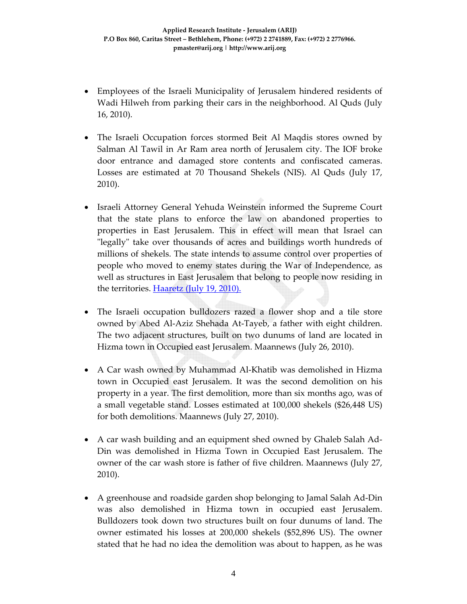- Employees of the Israeli Municipality of Jerusalem hindered residents of Wadi Hilweh from parking their cars in the neighborhood. Al Quds (July 16, 2010).
- The Israeli Occupation forces stormed Beit Al Maqdis stores owned by Salman Al Tawil in Ar Ram area north of Jerusalem city. The IOF broke door entrance and damaged store contents and confiscated cameras. Losses are estimated at 70 Thousand Shekels (NIS). Al Quds (July 17, 2010).
- Israeli Attorney General Yehuda Weinstein informed the Supreme Court that the state plans to enforce the law on abandoned properties to properties in East Jerusalem. This in effect will mean that Israel can "legally" take over thousands of acres and buildings worth hundreds of millions of shekels. The state intends to assume control over properties of people who moved to enemy states during the War of Independence, as well as structures in East Jerusalem that belong to people now residing in the territories. Haaretz (July 19, 2010).
- The Israeli occupation bulldozers razed a flower shop and a tile store owned by Abed Al‐Aziz Shehada At‐Tayeb, a father with eight children. The two adjacent structures, built on two dunums of land are located in Hizma town in Occupied east Jerusalem. Maannews (July 26, 2010).
- A Car wash owned by Muhammad Al-Khatib was demolished in Hizma town in Occupied east Jerusalem. It was the second demolition on his property in a year. The first demolition, more than six months ago, was of a small vegetable stand. Losses estimated at 100,000 shekels (\$26,448 US) for both demolitions. Maannews (July 27, 2010).
- A car wash building and an equipment shed owned by Ghaleb Salah Ad-Din was demolished in Hizma Town in Occupied East Jerusalem. The owner of the car wash store is father of five children. Maannews (July 27, 2010).
- A greenhouse and roadside garden shop belonging to Jamal Salah Ad‐Din was also demolished in Hizma town in occupied east Jerusalem. Bulldozers took down two structures built on four dunums of land. The owner estimated his losses at 200,000 shekels (\$52,896 US). The owner stated that he had no idea the demolition was about to happen, as he was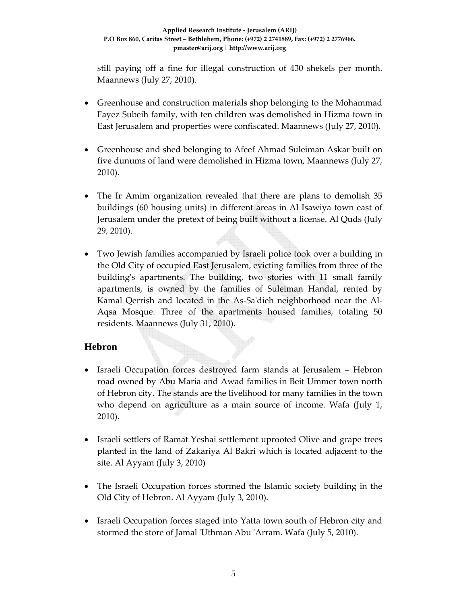still paying off a fine for illegal construction of 430 shekels per month. Maannews (July 27, 2010).

- Greenhouse and construction materials shop belonging to the Mohammad Fayez Subeih family, with ten children was demolished in Hizma town in East Jerusalem and properties were confiscated. Maannews (July 27, 2010).
- Greenhouse and shed belonging to Afeef Ahmad Suleiman Askar built on five dunums of land were demolished in Hizma town, Maannews (July 27, 2010).
- The Ir Amim organization revealed that there are plans to demolish 35 buildings (60 housing units) in different areas in Al Isawiya town east of Jerusalem under the pretext of being built without a license. Al Quds (July 29, 2010).
- Two Jewish families accompanied by Israeli police took over a building in the Old City of occupied East Jerusalem, evicting families from three of the building's apartments. The building, two stories with 11 small family apartments, is owned by the families of Suleiman Handal, rented by Kamal Qerrish and located in the As‐Saʹdieh neighborhood near the Al‐ Aqsa Mosque. Three of the apartments housed families, totaling 50 residents. Maannews (July 31, 2010).

## **Hebron**

- Israeli Occupation forces destroyed farm stands at Jerusalem Hebron road owned by Abu Maria and Awad families in Beit Ummer town north of Hebron city. The stands are the livelihood for many families in the town who depend on agriculture as a main source of income. Wafa (July 1, 2010).
- Israeli settlers of Ramat Yeshai settlement uprooted Olive and grape trees planted in the land of Zakariya Al Bakri which is located adjacent to the site. Al Ayyam (July 3, 2010)
- The Israeli Occupation forces stormed the Islamic society building in the Old City of Hebron. Al Ayyam (July 3, 2010).
- Israeli Occupation forces staged into Yatta town south of Hebron city and stormed the store of Jamal 'Uthman Abu 'Arram. Wafa (July 5, 2010).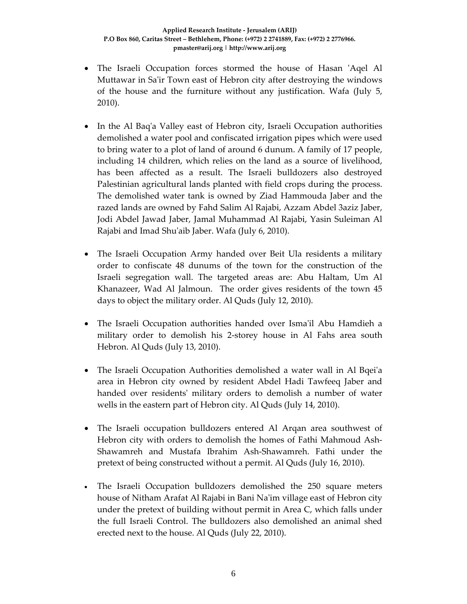- The Israeli Occupation forces stormed the house of Hasan 'Aqel Al Muttawar in Sa'ir Town east of Hebron city after destroying the windows of the house and the furniture without any justification. Wafa (July 5, 2010).
- In the Al Baq'a Valley east of Hebron city, Israeli Occupation authorities demolished a water pool and confiscated irrigation pipes which were used to bring water to a plot of land of around 6 dunum. A family of 17 people, including 14 children, which relies on the land as a source of livelihood, has been affected as a result. The Israeli bulldozers also destroyed Palestinian agricultural lands planted with field crops during the process. The demolished water tank is owned by Ziad Hammouda Jaber and the razed lands are owned by Fahd Salim Al Rajabi, Azzam Abdel 3aziz Jaber, Jodi Abdel Jawad Jaber, Jamal Muhammad Al Rajabi, Yasin Suleiman Al Rajabi and Imad Shuʹaib Jaber. Wafa (July 6, 2010).
- The Israeli Occupation Army handed over Beit Ula residents a military order to confiscate 48 dunums of the town for the construction of the Israeli segregation wall. The targeted areas are: Abu Haltam, Um Al Khanazeer, Wad Al Jalmoun. The order gives residents of the town 45 days to object the military order. Al Quds (July 12, 2010).
- The Israeli Occupation authorities handed over Isma'il Abu Hamdieh a military order to demolish his 2‐storey house in Al Fahs area south Hebron. Al Quds (July 13, 2010).
- The Israeli Occupation Authorities demolished a water wall in Al Bqei'a area in Hebron city owned by resident Abdel Hadi Tawfeeq Jaber and handed over residents' military orders to demolish a number of water wells in the eastern part of Hebron city. Al Quds (July 14, 2010).
- The Israeli occupation bulldozers entered Al Arqan area southwest of Hebron city with orders to demolish the homes of Fathi Mahmoud Ash‐ Shawamreh and Mustafa Ibrahim Ash‐Shawamreh. Fathi under the pretext of being constructed without a permit. Al Quds (July 16, 2010).
- The Israeli Occupation bulldozers demolished the 250 square meters house of Nitham Arafat Al Rajabi in Bani Na'im village east of Hebron city under the pretext of building without permit in Area C, which falls under the full Israeli Control. The bulldozers also demolished an animal shed erected next to the house. Al Quds (July 22, 2010).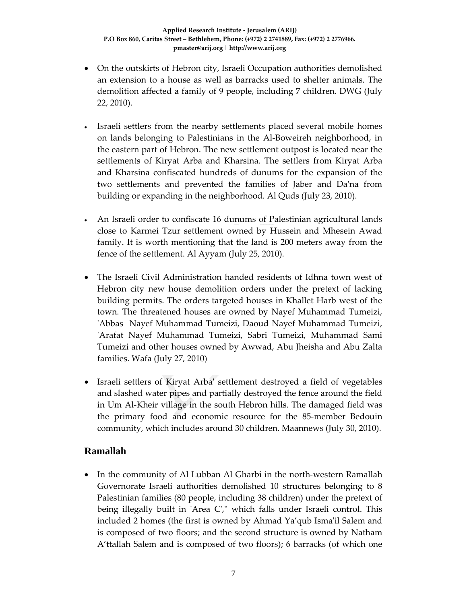- On the outskirts of Hebron city, Israeli Occupation authorities demolished an extension to a house as well as barracks used to shelter animals. The demolition affected a family of 9 people, including 7 children. DWG (July 22, 2010).
- Israeli settlers from the nearby settlements placed several mobile homes on lands belonging to Palestinians in the Al‐Boweireh neighborhood, in the eastern part of Hebron. The new settlement outpost is located near the settlements of Kiryat Arba and Kharsina. The settlers from Kiryat Arba and Kharsina confiscated hundreds of dunums for the expansion of the two settlements and prevented the families of Jaber and Daʹna from building or expanding in the neighborhood. Al Quds (July 23, 2010).
- An Israeli order to confiscate 16 dunums of Palestinian agricultural lands close to Karmei Tzur settlement owned by Hussein and Mhesein Awad family. It is worth mentioning that the land is 200 meters away from the fence of the settlement. Al Ayyam (July 25, 2010).
- The Israeli Civil Administration handed residents of Idhna town west of Hebron city new house demolition orders under the pretext of lacking building permits. The orders targeted houses in Khallet Harb west of the town. The threatened houses are owned by Nayef Muhammad Tumeizi, ʹAbbas Nayef Muhammad Tumeizi, Daoud Nayef Muhammad Tumeizi, ʹArafat Nayef Muhammad Tumeizi, Sabri Tumeizi, Muhammad Sami Tumeizi and other houses owned by Awwad, Abu Jheisha and Abu Zalta families. Wafa (July 27, 2010)
- Israeli settlers of Kiryat Arba' settlement destroyed a field of vegetables and slashed water pipes and partially destroyed the fence around the field in Um Al-Kheir village in the south Hebron hills. The damaged field was the primary food and economic resource for the 85‐member Bedouin community, which includes around 30 children. Maannews (July 30, 2010).

### **Ramallah**

• In the community of Al Lubban Al Gharbi in the north-western Ramallah Governorate Israeli authorities demolished 10 structures belonging to 8 Palestinian families (80 people, including 38 children) under the pretext of being illegally built in 'Area C'," which falls under Israeli control. This included 2 homes (the first is owned by Ahmad Ya'qub Ismaʹil Salem and is composed of two floors; and the second structure is owned by Natham A'ttallah Salem and is composed of two floors); 6 barracks (of which one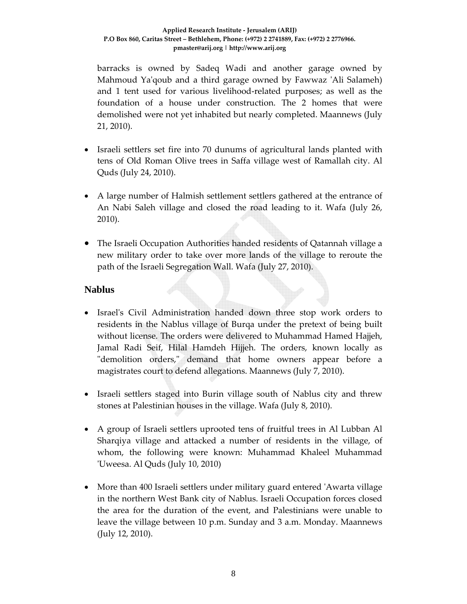#### **Applied Research Institute ‐ Jerusalem (ARIJ) P.O Box 860, Caritas Street – Bethlehem, Phone: (+972) 2 2741889, Fax: (+972) 2 2776966. pmaster@arij.org | http://www.arij.org**

barracks is owned by Sadeq Wadi and another garage owned by Mahmoud Ya'qoub and a third garage owned by Fawwaz 'Ali Salameh) and 1 tent used for various livelihood‐related purposes; as well as the foundation of a house under construction. The 2 homes that were demolished were not yet inhabited but nearly completed. Maannews (July 21, 2010).

- Israeli settlers set fire into 70 dunums of agricultural lands planted with tens of Old Roman Olive trees in Saffa village west of Ramallah city. Al Quds (July 24, 2010).
- A large number of Halmish settlement settlers gathered at the entrance of An Nabi Saleh village and closed the road leading to it. Wafa (July 26, 2010).
- The Israeli Occupation Authorities handed residents of Qatannah village a new military order to take over more lands of the village to reroute the path of the Israeli Segregation Wall. Wafa (July 27, 2010).

#### **Nablus**

- Israelʹs Civil Administration handed down three stop work orders to residents in the Nablus village of Burqa under the pretext of being built without license. The orders were delivered to Muhammad Hamed Hajjeh, Jamal Radi Seif, Hilal Hamdeh Hijjeh. The orders, known locally as "demolition orders," demand that home owners appear before a magistrates court to defend allegations. Maannews (July 7, 2010).
- Israeli settlers staged into Burin village south of Nablus city and threw stones at Palestinian houses in the village. Wafa (July 8, 2010).
- A group of Israeli settlers uprooted tens of fruitful trees in Al Lubban Al Sharqiya village and attacked a number of residents in the village, of whom, the following were known: Muhammad Khaleel Muhammad ʹUweesa. Al Quds (July 10, 2010)
- More than 400 Israeli settlers under military guard entered 'Awarta village in the northern West Bank city of Nablus. Israeli Occupation forces closed the area for the duration of the event, and Palestinians were unable to leave the village between 10 p.m. Sunday and 3 a.m. Monday. Maannews (July 12, 2010).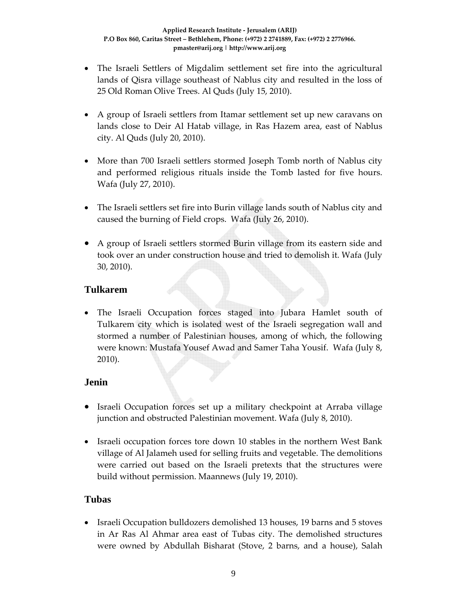- The Israeli Settlers of Migdalim settlement set fire into the agricultural lands of Qisra village southeast of Nablus city and resulted in the loss of 25 Old Roman Olive Trees. Al Quds (July 15, 2010).
- A group of Israeli settlers from Itamar settlement set up new caravans on lands close to Deir Al Hatab village, in Ras Hazem area, east of Nablus city. Al Quds (July 20, 2010).
- More than 700 Israeli settlers stormed Joseph Tomb north of Nablus city and performed religious rituals inside the Tomb lasted for five hours. Wafa (July 27, 2010).
- The Israeli settlers set fire into Burin village lands south of Nablus city and caused the burning of Field crops. Wafa (July 26, 2010).
- A group of Israeli settlers stormed Burin village from its eastern side and took over an under construction house and tried to demolish it. Wafa (July 30, 2010).

### **Tulkarem**

• The Israeli Occupation forces staged into Jubara Hamlet south of Tulkarem city which is isolated west of the Israeli segregation wall and stormed a number of Palestinian houses, among of which, the following were known: Mustafa Yousef Awad and Samer Taha Yousif. Wafa (July 8, 2010).

### **Jenin**

- Israeli Occupation forces set up a military checkpoint at Arraba village junction and obstructed Palestinian movement. Wafa (July 8, 2010).
- Israeli occupation forces tore down 10 stables in the northern West Bank village of Al Jalameh used for selling fruits and vegetable. The demolitions were carried out based on the Israeli pretexts that the structures were build without permission. Maannews (July 19, 2010).

## **Tubas**

• Israeli Occupation bulldozers demolished 13 houses, 19 barns and 5 stoves in Ar Ras Al Ahmar area east of Tubas city. The demolished structures were owned by Abdullah Bisharat (Stove, 2 barns, and a house), Salah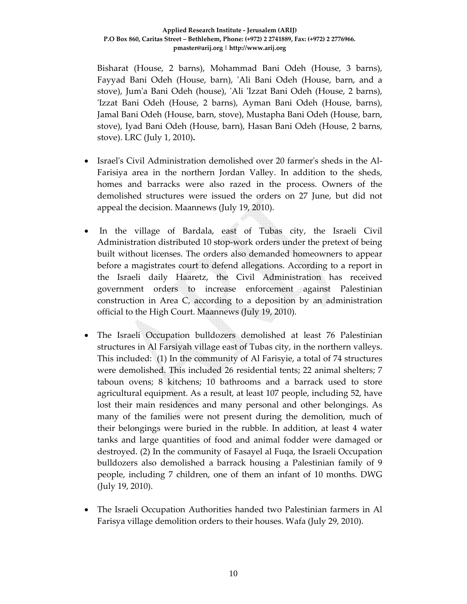Bisharat (House, 2 barns), Mohammad Bani Odeh (House, 3 barns), Fayyad Bani Odeh (House, barn), 'Ali Bani Odeh (House, barn, and a stove), Jumʹa Bani Odeh (house), ʹAli ʹIzzat Bani Odeh (House, 2 barns), ʹIzzat Bani Odeh (House, 2 barns), Ayman Bani Odeh (House, barns), Jamal Bani Odeh (House, barn, stove), Mustapha Bani Odeh (House, barn, stove), Iyad Bani Odeh (House, barn), Hasan Bani Odeh (House, 2 barns, stove). LRC (July 1, 2010)**.**

- Israel's Civil Administration demolished over 20 farmer's sheds in the Al-Farisiya area in the northern Jordan Valley. In addition to the sheds, homes and barracks were also razed in the process. Owners of the demolished structures were issued the orders on 27 June, but did not appeal the decision. Maannews (July 19, 2010).
- In the village of Bardala, east of Tubas city, the Israeli Civil Administration distributed 10 stop‐work orders under the pretext of being built without licenses. The orders also demanded homeowners to appear before a magistrates court to defend allegations. According to a report in the Israeli daily Haaretz, the Civil Administration has received government orders to increase enforcement against Palestinian construction in Area C, according to a deposition by an administration official to the High Court. Maannews (July 19, 2010).
- The Israeli Occupation bulldozers demolished at least 76 Palestinian structures in Al Farsiyah village east of Tubas city, in the northern valleys. This included: (1) In the community of Al Farisyie, a total of 74 structures were demolished. This included 26 residential tents; 22 animal shelters; 7 taboun ovens; 8 kitchens; 10 bathrooms and a barrack used to store agricultural equipment. As a result, at least 107 people, including 52, have lost their main residences and many personal and other belongings. As many of the families were not present during the demolition, much of their belongings were buried in the rubble. In addition, at least 4 water tanks and large quantities of food and animal fodder were damaged or destroyed. (2) In the community of Fasayel al Fuqa, the Israeli Occupation bulldozers also demolished a barrack housing a Palestinian family of 9 people, including 7 children, one of them an infant of 10 months. DWG (July 19, 2010).
- The Israeli Occupation Authorities handed two Palestinian farmers in Al Farisya village demolition orders to their houses. Wafa (July 29, 2010).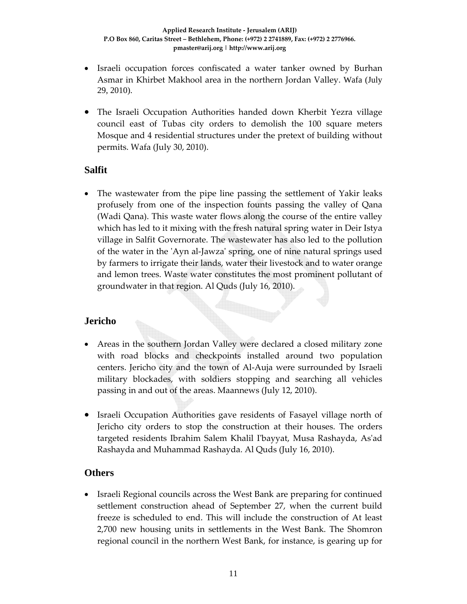- Israeli occupation forces confiscated a water tanker owned by Burhan Asmar in Khirbet Makhool area in the northern Jordan Valley. Wafa (July 29, 2010).
- The Israeli Occupation Authorities handed down Kherbit Yezra village council east of Tubas city orders to demolish the 100 square meters Mosque and 4 residential structures under the pretext of building without permits. Wafa (July 30, 2010).

### **Salfit**

• The wastewater from the pipe line passing the settlement of Yakir leaks profusely from one of the inspection founts passing the valley of Qana (Wadi Qana). This waste water flows along the course of the entire valley which has led to it mixing with the fresh natural spring water in Deir Istya village in Salfit Governorate. The wastewater has also led to the pollution of the water in the ʹAyn al‐Jawzaʹ spring, one of nine natural springs used by farmers to irrigate their lands, water their livestock and to water orange and lemon trees. Waste water constitutes the most prominent pollutant of groundwater in that region. Al Quds (July 16, 2010).

## **Jericho**

- Areas in the southern Jordan Valley were declared a closed military zone with road blocks and checkpoints installed around two population centers. Jericho city and the town of Al‐Auja were surrounded by Israeli military blockades, with soldiers stopping and searching all vehicles passing in and out of the areas. Maannews (July 12, 2010).
- Israeli Occupation Authorities gave residents of Fasayel village north of Jericho city orders to stop the construction at their houses. The orders targeted residents Ibrahim Salem Khalil Iʹbayyat, Musa Rashayda, Asʹad Rashayda and Muhammad Rashayda. Al Quds (July 16, 2010).

### **Others**

• Israeli Regional councils across the West Bank are preparing for continued settlement construction ahead of September 27, when the current build freeze is scheduled to end. This will include the construction of At least 2,700 new housing units in settlements in the West Bank. The Shomron regional council in the northern West Bank, for instance, is gearing up for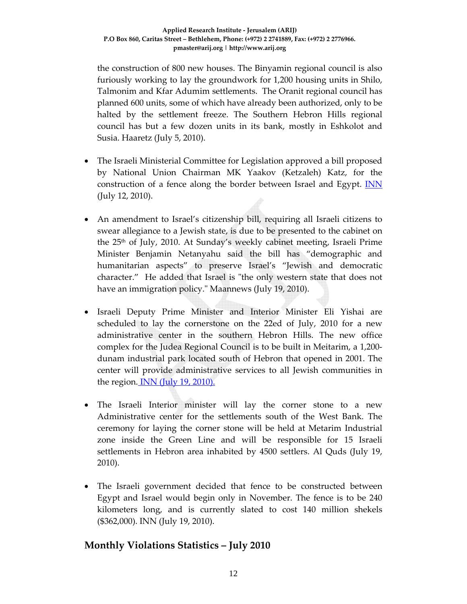the construction of 800 new houses. The Binyamin regional council is also furiously working to lay the groundwork for 1,200 housing units in Shilo, Talmonim and Kfar Adumim settlements. The Oranit regional council has planned 600 units, some of which have already been authorized, only to be halted by the settlement freeze. The Southern Hebron Hills regional council has but a few dozen units in its bank, mostly in Eshkolot and Susia. Haaretz (July 5, 2010).

- The Israeli Ministerial Committee for Legislation approved a bill proposed by National Union Chairman MK Yaakov (Ketzaleh) Katz, for the construction of a fence along the border between Israel and Egypt. **INN** (July 12, 2010).
- An amendment to Israel's citizenship bill, requiring all Israeli citizens to swear allegiance to a Jewish state, is due to be presented to the cabinet on the 25th of July, 2010. At Sunday's weekly cabinet meeting, Israeli Prime Minister Benjamin Netanyahu said the bill has "demographic and humanitarian aspects" to preserve Israel's "Jewish and democratic character." He added that Israel is "the only western state that does not have an immigration policy." Maannews (July 19, 2010).
- Israeli Deputy Prime Minister and Interior Minister Eli Yishai are scheduled to lay the cornerstone on the 22ed of July, 2010 for a new administrative center in the southern Hebron Hills. The new office complex for the Judea Regional Council is to be built in Meitarim, a 1,200‐ dunam industrial park located south of Hebron that opened in 2001. The center will provide administrative services to all Jewish communities in the region. INN (July 19, 2010).
- The Israeli Interior minister will lay the corner stone to a new Administrative center for the settlements south of the West Bank. The ceremony for laying the corner stone will be held at Metarim Industrial zone inside the Green Line and will be responsible for 15 Israeli settlements in Hebron area inhabited by 4500 settlers. Al Quds (July 19, 2010).
- The Israeli government decided that fence to be constructed between Egypt and Israel would begin only in November. The fence is to be 240 kilometers long, and is currently slated to cost 140 million shekels (\$362,000). INN (July 19, 2010).

## **Monthly Violations Statistics – July 2010**